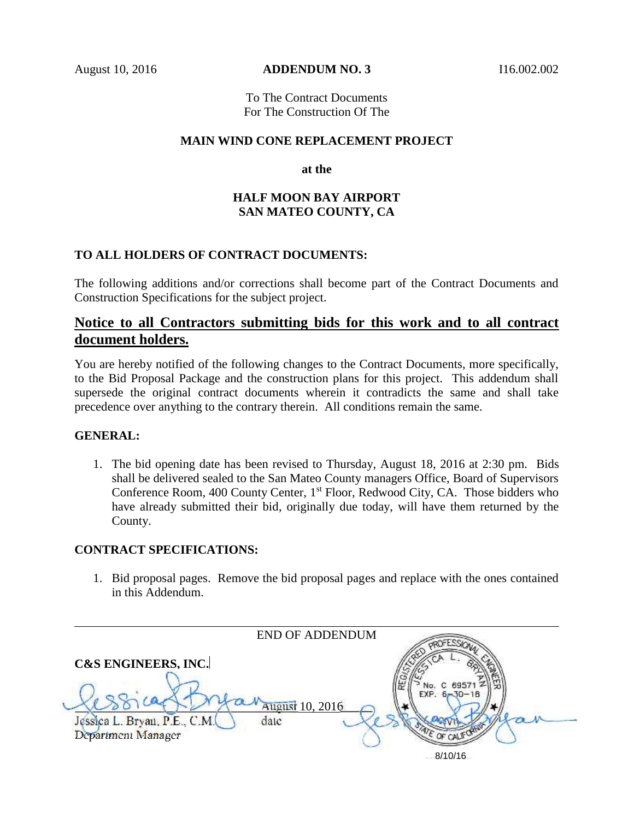August 10, 2016 **ADDENDUM NO. 3** I16.002.002

To The Contract Documents For The Construction Of The

#### **MAIN WIND CONE REPLACEMENT PROJECT**

**at the**

### **HALF MOON BAY AIRPORT SAN MATEO COUNTY, CA**

### **TO ALL HOLDERS OF CONTRACT DOCUMENTS:**

The following additions and/or corrections shall become part of the Contract Documents and Construction Specifications for the subject project.

# **Notice to all Contractors submitting bids for this work and to all contract document holders.**

You are hereby notified of the following changes to the Contract Documents, more specifically, to the Bid Proposal Package and the construction plans for this project. This addendum shall supersede the original contract documents wherein it contradicts the same and shall take precedence over anything to the contrary therein. All conditions remain the same.

#### **GENERAL:**

1. The bid opening date has been revised to Thursday, August 18, 2016 at 2:30 pm. Bids shall be delivered sealed to the San Mateo County managers Office, Board of Supervisors Conference Room, 400 County Center, 1<sup>st</sup> Floor, Redwood City, CA. Those bidders who have already submitted their bid, originally due today, will have them returned by the County.

#### **CONTRACT SPECIFICATIONS:**

1. Bid proposal pages. Remove the bid proposal pages and replace with the ones contained in this Addendum.

|                                                    | <b>END OF ADDENDUM</b>  |                    |  |
|----------------------------------------------------|-------------------------|--------------------|--|
| <b>C&amp;S ENGINEERS, INC.</b>                     |                         | $EXP. 6 - 30 - 18$ |  |
| Jęssica L. Bryan, P.E., C.M.<br>Department Manager | August 10, 2016<br>date |                    |  |
|                                                    |                         | 8/10/16            |  |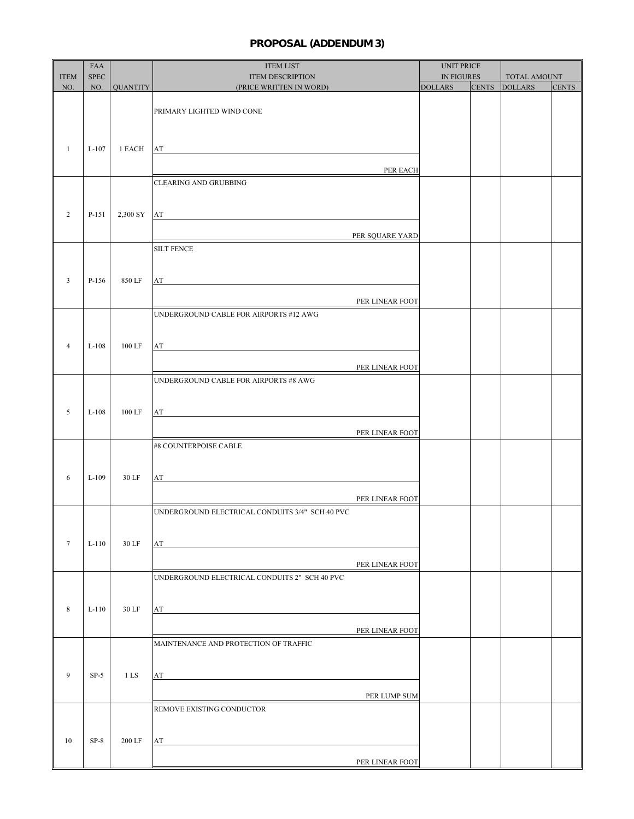# **PROPOSAL (ADDENDUM 3)**

|                 | FAA         |              | <b>ITEM LIST</b>                                                                                                                                                                                                                     | <b>UNIT PRICE</b> |              |                |              |
|-----------------|-------------|--------------|--------------------------------------------------------------------------------------------------------------------------------------------------------------------------------------------------------------------------------------|-------------------|--------------|----------------|--------------|
| <b>ITEM</b>     | <b>SPEC</b> |              | <b>ITEM DESCRIPTION</b>                                                                                                                                                                                                              | <b>IN FIGURES</b> |              | TOTAL AMOUNT   |              |
| NO.             |             | NO. QUANTITY | (PRICE WRITTEN IN WORD)                                                                                                                                                                                                              | <b>DOLLARS</b>    | <b>CENTS</b> | <b>DOLLARS</b> | <b>CENTS</b> |
|                 |             |              |                                                                                                                                                                                                                                      |                   |              |                |              |
|                 |             |              | PRIMARY LIGHTED WIND CONE                                                                                                                                                                                                            |                   |              |                |              |
|                 |             |              |                                                                                                                                                                                                                                      |                   |              |                |              |
|                 |             |              |                                                                                                                                                                                                                                      |                   |              |                |              |
| $\mathbf{1}$    | $L-107$     | 1 EACH       | AT<br><u> 1989 - Johann Stein, fransk politik (d. 1989)</u>                                                                                                                                                                          |                   |              |                |              |
|                 |             |              | PER EACH                                                                                                                                                                                                                             |                   |              |                |              |
|                 |             |              | <b>CLEARING AND GRUBBING</b>                                                                                                                                                                                                         |                   |              |                |              |
|                 |             |              |                                                                                                                                                                                                                                      |                   |              |                |              |
|                 |             |              |                                                                                                                                                                                                                                      |                   |              |                |              |
| $\overline{c}$  | P-151       |              | $2,300$ SY $AT$                                                                                                                                                                                                                      |                   |              |                |              |
|                 |             |              |                                                                                                                                                                                                                                      |                   |              |                |              |
|                 |             |              | PER SQUARE YARD                                                                                                                                                                                                                      |                   |              |                |              |
|                 |             |              | <b>SILT FENCE</b>                                                                                                                                                                                                                    |                   |              |                |              |
|                 |             |              |                                                                                                                                                                                                                                      |                   |              |                |              |
| $\mathbf{3}$    | $P-156$     | 850 LF       | AT<br><u> 1980 - Andrea Andrew Maria (h. 1980).</u>                                                                                                                                                                                  |                   |              |                |              |
|                 |             |              |                                                                                                                                                                                                                                      |                   |              |                |              |
|                 |             |              | PER LINEAR FOOT                                                                                                                                                                                                                      |                   |              |                |              |
|                 |             |              | UNDERGROUND CABLE FOR AIRPORTS #12 AWG                                                                                                                                                                                               |                   |              |                |              |
|                 |             |              |                                                                                                                                                                                                                                      |                   |              |                |              |
| $\overline{4}$  | $L-108$     | 100 LF       |                                                                                                                                                                                                                                      |                   |              |                |              |
|                 |             |              | AT THE CONSTRUCTION OF THE CONSTRUCTION OF THE CONSTRUCTION OF THE CONSTRUCTION OF THE CONSTRUCTION OF THE CONSTRUCTION OF THE CONSTRUCTION OF THE CONSTRUCTION OF THE CONSTRUCTION OF THE CONSTRUCTION OF THE CONSTRUCTION OF       |                   |              |                |              |
|                 |             |              | PER LINEAR FOOT                                                                                                                                                                                                                      |                   |              |                |              |
|                 |             |              | UNDERGROUND CABLE FOR AIRPORTS #8 AWG                                                                                                                                                                                                |                   |              |                |              |
|                 |             |              |                                                                                                                                                                                                                                      |                   |              |                |              |
|                 |             |              |                                                                                                                                                                                                                                      |                   |              |                |              |
| 5               | $L-108$     | 100 LF       | AT<br><u> 1989 - Johann Harry Harry Harry Harry Harry Harry Harry Harry Harry Harry Harry Harry Harry Harry Harry Harry</u>                                                                                                          |                   |              |                |              |
|                 |             |              | PER LINEAR FOOT                                                                                                                                                                                                                      |                   |              |                |              |
|                 |             |              | #8 COUNTERPOISE CABLE                                                                                                                                                                                                                |                   |              |                |              |
|                 |             |              |                                                                                                                                                                                                                                      |                   |              |                |              |
|                 |             |              |                                                                                                                                                                                                                                      |                   |              |                |              |
| 6               | $L-109$     | 30 LF        | AT THE CONSTRUCTION OF THE CONSTRUCTION OF THE CONSTRUCTION OF THE CONSTRUCTION OF THE CONSTRUCTION OF THE CONSTRUCTION OF THE CONSTRUCTION OF THE CONSTRUCTION OF THE CONSTRUCTION OF THE CONSTRUCTION OF THE CONSTRUCTION OF       |                   |              |                |              |
|                 |             |              |                                                                                                                                                                                                                                      |                   |              |                |              |
|                 |             |              | PER LINEAR FOOT                                                                                                                                                                                                                      |                   |              |                |              |
|                 |             |              | UNDERGROUND ELECTRICAL CONDUITS 3/4" SCH 40 PVC                                                                                                                                                                                      |                   |              |                |              |
|                 |             |              |                                                                                                                                                                                                                                      |                   |              |                |              |
| $7\phantom{.0}$ | $L-110$     | 30 LF        | AT<br><u> 1980 - Jan Sterling von Berling von Berling von Berling von Berling von Berling von Berling von Berling von B</u>                                                                                                          |                   |              |                |              |
|                 |             |              |                                                                                                                                                                                                                                      |                   |              |                |              |
|                 |             |              | PER LINEAR FOOT                                                                                                                                                                                                                      |                   |              |                |              |
|                 |             |              | UNDERGROUND ELECTRICAL CONDUITS 2" SCH 40 PVC                                                                                                                                                                                        |                   |              |                |              |
|                 |             |              |                                                                                                                                                                                                                                      |                   |              |                |              |
| $\,8\,$         | $L-110$     | 30 LF        | AT                                                                                                                                                                                                                                   |                   |              |                |              |
|                 |             |              |                                                                                                                                                                                                                                      |                   |              |                |              |
|                 |             |              | PER LINEAR FOOT                                                                                                                                                                                                                      |                   |              |                |              |
|                 |             |              | MAINTENANCE AND PROTECTION OF TRAFFIC                                                                                                                                                                                                |                   |              |                |              |
|                 |             |              |                                                                                                                                                                                                                                      |                   |              |                |              |
|                 |             |              |                                                                                                                                                                                                                                      |                   |              |                |              |
| 9               | $SP-5$      | 1 LS         | AT <u>and the second contract of the second contract of the second contract of the second contract of the second contract of the second contract of the second contract of the second contract of the second contract of the sec</u> |                   |              |                |              |
|                 |             |              | PER LUMP SUM                                                                                                                                                                                                                         |                   |              |                |              |
|                 |             |              | REMOVE EXISTING CONDUCTOR                                                                                                                                                                                                            |                   |              |                |              |
|                 |             |              |                                                                                                                                                                                                                                      |                   |              |                |              |
|                 |             |              |                                                                                                                                                                                                                                      |                   |              |                |              |
| 10              | $SP-8$      | 200 LF       | AT                                                                                                                                                                                                                                   |                   |              |                |              |
|                 |             |              |                                                                                                                                                                                                                                      |                   |              |                |              |
|                 |             |              | PER LINEAR FOOT                                                                                                                                                                                                                      |                   |              |                |              |